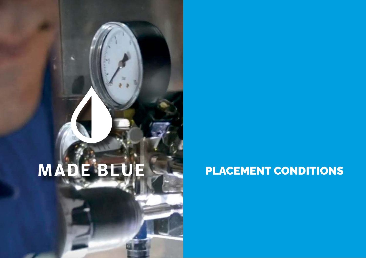## PLACEMENT CONDITIONS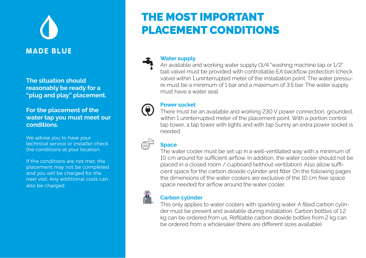**The situation should reasonably be ready for a "plug and play" placement.** 

**For the placement of the water tap you must meet our conditions.**

We advise you to have your technical service or installer check the conditions at your location.

If the conditions are not met, the placement may not be completed and you will be charged for the next visit. Any additional costs can also be charged.

## THE MOST IMPORTANT PLACEMENT CONDITIONS



#### **Water supply**

An available and working water supply (3/4 "washing machine tap or 1/2" ball valve) must be provided with controllable EA backflow protection (check valve) within 1 uninterrupted meter of the installation point. The water pressure must be a minimum of 1 bar and a maximum of 3.5 bar. The water supply must have a water seal.

## 0

#### **Power socket**

There must be an available and working 230 V power connection, grounded, within 1 uninterrupted meter of the placement point. With a portion control tap tower, a tap tower with lights and with tap Sunny an extra power socket is needed.

## $\bigoplus_{i=1}^n$

**Space**

The water cooler must be set up in a well-ventilated way with a minimum of 10 cm around for sufficient airflow. In addition, the water cooler should not be placed in a closed room / cupboard (without ventilation). Also allow sufficient space for the carbon dioxide cylinder and filter. On the following pages the dimensions of the water coolers are exclusive of the 10 cm free space space needed for airflow around the water cooler.



#### **Carbon cylinder**

This only applies to water coolers with sparkling water. A filled carbon cylinder must be present and available during installation. Carbon bottles of 1.2 kg can be ordered from us. Refillable carbon dioxide bottles from 2 kg can be ordered from a wholesaler (there are different sizes available).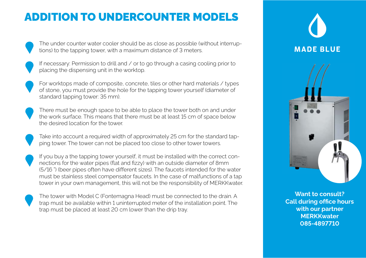## ADDITION TO UNDERCOUNTER MODELS





If necessary: Permission to drill and / or to go through a casing cooling prior to placing the dispensing unit in the worktop.



There must be enough space to be able to place the tower both on and under the work surface. This means that there must be at least 15 cm of space below the desired location for the tower.

Take into account a required width of approximately 25 cm for the standard tapping tower. The tower can not be placed too close to other tower towers.

If you buy a the tapping tower yourself, it must be installed with the correct connections for the water pipes (flat and fizzy) with an outside diameter of 8mm (5/16 ") (beer pipes often have different sizes). The faucets intended for the water must be stainless steel compensator faucets. In the case of malfunctions of a tap tower in your own management, this will not be the responsibility of MERKKwater.

The tower with Model C (Fontemagna Head) must be connected to the drain. A trap must be available within 1 uninterrupted meter of the installation point. The trap must be placed at least 20 cm lower than the drip tray.



**Want to consult? Call during office hours with our partner MERKKwater 085-4897710**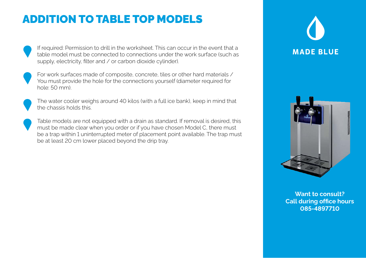## ADDITION TO TABLE TOP MODELS

If required: Permission to drill in the worksheet. This can occur in the event that a table model must be connected to connections under the work surface (such as supply, electricity, filter and / or carbon dioxide cylinder).



For work surfaces made of composite, concrete, tiles or other hard materials / You must provide the hole for the connections yourself (diameter required for hole: 50 mm).



The water cooler weighs around 40 kilos (with a full ice bank), keep in mind that the chassis holds this.



Table models are not equipped with a drain as standard. If removal is desired, this must be made clear when you order or if you have chosen Model C, there must be a trap within 1 uninterrupted meter of placement point available. The trap must be at least 20 cm lower placed beyond the drip tray.





**Want to consult? Call during office hours 085-4897710**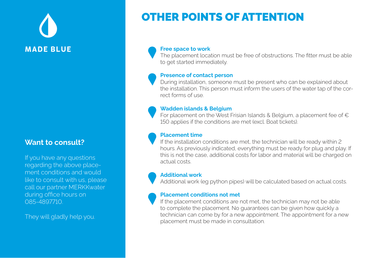#### **Want to consult?**

If you have any questions regarding the above placement conditions and would like to consult with us, please call our partner MERKKwater during office hours on 085-4897710.

They will gladly help you.

## OTHER POINTS OF ATTENTION

#### **Free space to work**

The placement location must be free of obstructions. The fitter must be able to get started immediately.

#### **Presence of contact person**

During installation, someone must be present who can be explained about the installation. This person must inform the users of the water tap of the correct forms of use.

#### **Wadden islands & Belgium**

For placement on the West Frisian Islands & Belgium, a placement fee of  $\in$ 150 applies if the conditions are met (excl. Boat tickets).

#### **Placement time**

If the installation conditions are met, the technician will be ready within 2 hours. As previously indicated, everything must be ready for plug and play. If this is not the case, additional costs for labor and material will be charged on actual costs.

#### **Additional work**

Additional work (eg python pipes) will be calculated based on actual costs.

#### **Placement conditions not met**

If the placement conditions are not met, the technician may not be able to complete the placement. No guarantees can be given how quickly a technician can come by for a new appointment. The appointment for a new placement must be made in consultation.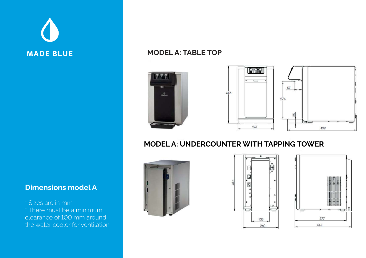

#### **MODEL A: TABLE TOP**



#### **MODEL A: UNDERCOUNTER WITH TAPPING TOWER**







### **Dimensions model A**

\* Sizes are in mm \* There must be a minimum clearance of 100 mm around the water cooler for ventilation.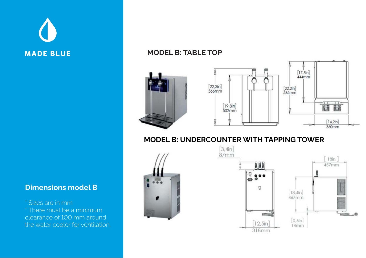

#### **MODEL B: TABLE TOP**







### **Dimensions model B**

\* Sizes are in mm \* There must be a minimum clearance of 100 mm around the water cooler for ventilation.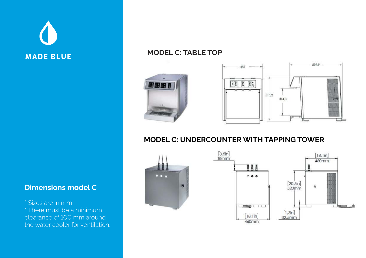

#### **MODEL C: TABLE TOP**





#### **MODEL C: UNDERCOUNTER WITH TAPPING TOWER**





#### **Dimensions model C**

\* Sizes are in mm \* There must be a minimum clearance of 100 mm around the water cooler for ventilation.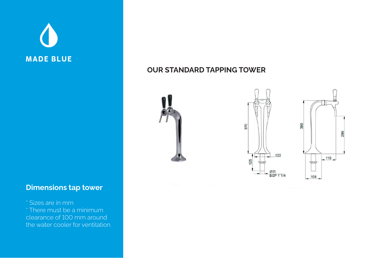### **Dimensions tap tower**

\* Sizes are in mm \* There must be a minimum clearance of 100 mm around the water cooler for ventilation.

#### **OUR STANDARD TAPPING TOWER**